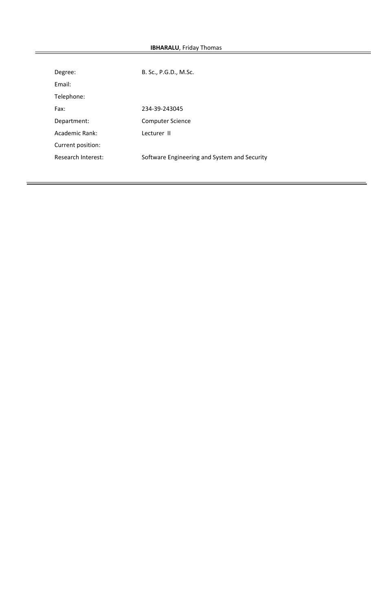# **IBHARALU**, Friday Thomas

| Degree:            | B. Sc., P.G.D., M.Sc.                        |
|--------------------|----------------------------------------------|
| Fmail:             |                                              |
| Telephone:         |                                              |
| Fax:               | 234-39-243045                                |
| Department:        | <b>Computer Science</b>                      |
| Academic Rank:     | Lecturer II                                  |
| Current position:  |                                              |
| Research Interest: | Software Engineering and System and Security |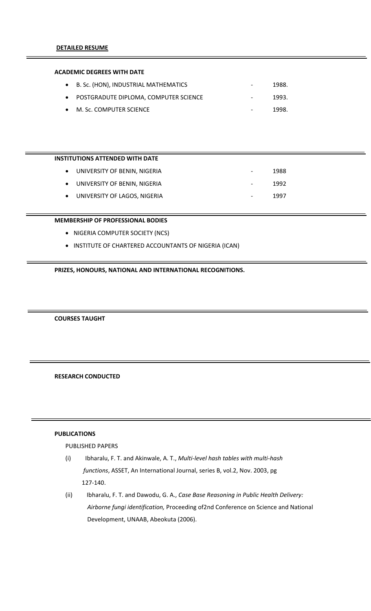### **ACADEMIC DEGREES WITH DATE**

| • B. Sc. (HON), INDUSTRIAL MATHEMATICS  | $\overline{\phantom{a}}$ | 1988. |
|-----------------------------------------|--------------------------|-------|
| • POSTGRADUTE DIPLOMA, COMPUTER SCIENCE | $\sim$ 100 $\mu$         | 1993. |
| • M. Sc. COMPUTER SCIENCE               | $\sim$ 100 $\mu$         | 1998. |

# **INSTITUTIONS ATTENDED WITH DATE**

| • UNIVERSITY OF BENIN, NIGERIA | $\overline{\phantom{a}}$ | 1988 |
|--------------------------------|--------------------------|------|
| • UNIVERSITY OF BENIN, NIGERIA | $\overline{\phantom{a}}$ | 1992 |
| • UNIVERSITY OF LAGOS, NIGERIA | $\overline{\phantom{a}}$ | 1997 |

### **MEMBERSHIP OF PROFESSIONAL BODIES**

- NIGERIA COMPUTER SOCIETY (NCS)
- INSTITUTE OF CHARTERED ACCOUNTANTS OF NIGERIA (ICAN)

# **PRIZES, HONOURS, NATIONAL AND INTERNATIONAL RECOGNITIONS.**

### **COURSES TAUGHT**

# **RESEARCH CONDUCTED**

# **PUBLICATIONS**

### PUBLISHED PAPERS

- (i) Ibharalu, F. T. and Akinwale, A. T., *Multi‐level hash tables with multi‐hash functions*, ASSET, An International Journal, series B, vol.2, Nov. 2003, pg  127‐140.
- (ii) Ibharalu, F. T. and Dawodu, G. A., *Case Base Reasoning in Public Health Delivery: Airborne fungi identification,* Proceeding of2nd Conference on Science and National Development, UNAAB, Abeokuta (2006).